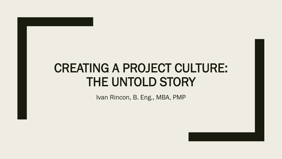# CREATING A PROJECT CULTURE: THE UNTOLD STORY

Ivan Rincon, B. Eng., MBA, PMP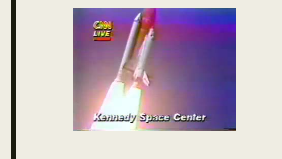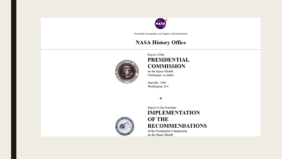

National Aeronautics and Space Administration

#### **NASA History Office**



Report of the

#### **PRESIDENTIAL COMMISSION**

on the Space Shuttle **Challenger Accident** 

June 6th, 1986 Washington, D.C.

 $+$ 



Report to the President **IMPLEMENTATION OF THE RECOMMENDATIONS** 

of the Presidential Commission on the Space Shuttle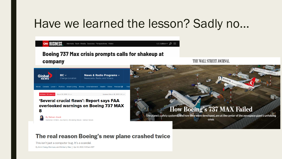### Have we learned the lesson? Sadly no…



#### The real reason Boeing's new plane crashed twice

This isn't just a computer bug. It's a scandal. By Alvin Chang, Dion Lee, and Kimberly Mas | Apr 15, 2019, 9:50am EDT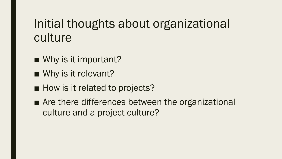## Initial thoughts about organizational culture

- Why is it important?
- Why is it relevant?
- How is it related to projects?
- Are there differences between the organizational culture and a project culture?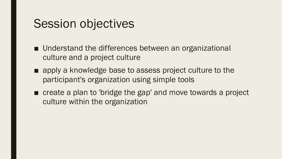#### Session objectives

- Understand the differences between an organizational culture and a project culture
- apply a knowledge base to assess project culture to the participant's organization using simple tools
- create a plan to 'bridge the gap' and move towards a project culture within the organization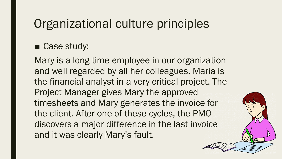## Organizational culture principles

#### ■ Case study:

Mary is a long time employee in our organization and well regarded by all her colleagues. Maria is the financial analyst in a very critical project. The Project Manager gives Mary the approved timesheets and Mary generates the invoice for the client. After one of these cycles, the PMO discovers a major difference in the last invoice and it was clearly Mary's fault.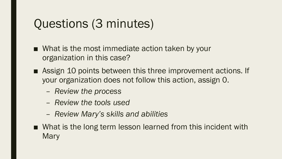## Questions (3 minutes)

- What is the most immediate action taken by your organization in this case?
- Assign 10 points between this three improvement actions. If your organization does not follow this action, assign 0.
	- *Review the process*
	- *Review the tools used*
	- *Review Mary's skills and abilities*
- What is the long term lesson learned from this incident with **Mary**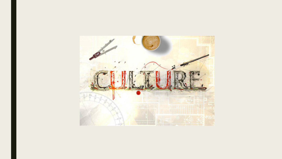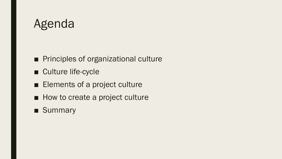## Agenda

- Principles of organizational culture
- Culture life-cycle
- Elements of a project culture
- How to create a project culture
- Summary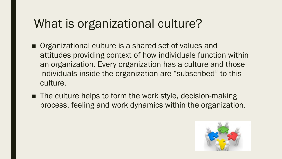## What is organizational culture?

- Organizational culture is a shared set of values and attitudes providing context of how individuals function within an organization. Every organization has a culture and those individuals inside the organization are "subscribed" to this culture.
- The culture helps to form the work style, decision-making process, feeling and work dynamics within the organization.

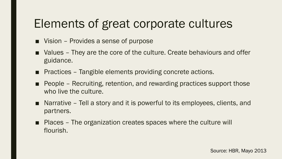## Elements of great corporate cultures

- Vision Provides a sense of purpose
- Values They are the core of the culture. Create behaviours and offer guidance.
- Practices Tangible elements providing concrete actions.
- People Recruiting, retention, and rewarding practices support those who live the culture.
- Narrative Tell a story and it is powerful to its employees, clients, and partners.
- Places The organization creates spaces where the culture will flourish.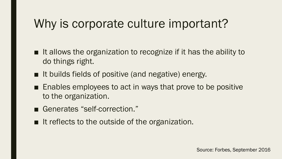## Why is corporate culture important?

- It allows the organization to recognize if it has the ability to do things right.
- It builds fields of positive (and negative) energy.
- Enables employees to act in ways that prove to be positive to the organization.
- Generates "self-correction."
- It reflects to the outside of the organization.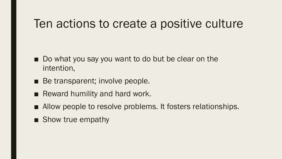### Ten actions to create a positive culture

- Do what you say you want to do but be clear on the intention,
- Be transparent; involve people.
- Reward humility and hard work.
- Allow people to resolve problems. It fosters relationships.
- Show true empathy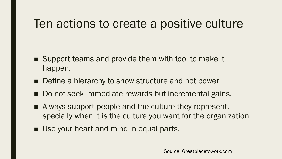## Ten actions to create a positive culture

- Support teams and provide them with tool to make it happen.
- Define a hierarchy to show structure and not power.
- Do not seek immediate rewards but incremental gains.
- Always support people and the culture they represent, specially when it is the culture you want for the organization.
- Use your heart and mind in equal parts.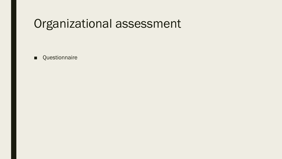### Organizational assessment

■ Questionnaire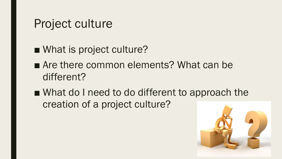## Project culture

- What is project culture?
- Are there common elements? What can be different?
- What do I need to do different to approach the creation of a project culture?

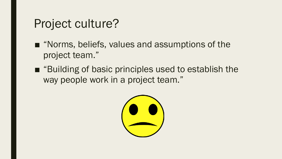## Project culture?

- "Norms, beliefs, values and assumptions of the project team."
- "Building of basic principles used to establish the way people work in a project team."

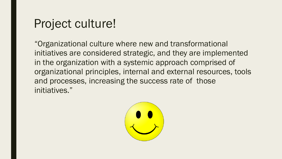## Project culture!

"Organizational culture where new and transformational initiatives are considered strategic, and they are implemented in the organization with a systemic approach comprised of organizational principles, internal and external resources, tools and processes, increasing the success rate of those initiatives."

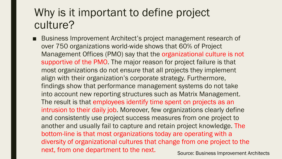### Why is it important to define project culture?

■ Business Improvement Architect's project management research of over 750 organizations world-wide shows that 60% of Project Management Offices (PMO) say that the organizational culture is not supportive of the PMO. The major reason for project failure is that most organizations do not ensure that all projects they implement align with their organization's corporate strategy. Furthermore, findings show that performance management systems do not take into account new reporting structures such as Matrix Management. The result is that employees identify time spent on projects as an intrusion to their daily job. Moreover, few organizations clearly define and consistently use project success measures from one project to another and usually fail to capture and retain project knowledge. The bottom-line is that most organizations today are operating with a diversity of organizational cultures that change from one project to the next, from one department to the next.<br>Source: Business Improvement Architects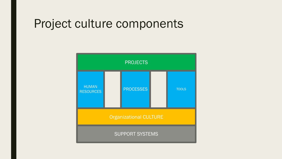#### Project culture components

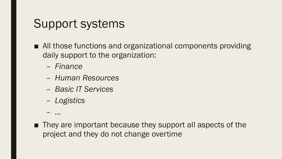## Support systems

- All those functions and organizational components providing daily support to the organization:
	- *Finance*
	- *Human Resources*
	- *Basic IT Services*
	- *Logistics*

– *…*

■ They are important because they support all aspects of the project and they do not change overtime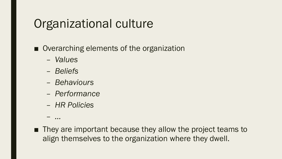## Organizational culture

- Overarching elements of the organization
	- *Values*
	- *Beliefs*

– *…*

- *Behaviours*
- *Performance*
- *HR Policies*

■ They are important because they allow the project teams to align themselves to the organization where they dwell.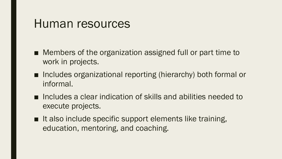#### Human resources

- Members of the organization assigned full or part time to work in projects.
- Includes organizational reporting (hierarchy) both formal or informal.
- Includes a clear indication of skills and abilities needed to execute projects.
- It also include specific support elements like training, education, mentoring, and coaching.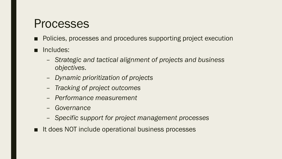#### Processes

- Policies, processes and procedures supporting project execution
- Includes:
	- *Strategic and tactical alignment of projects and business objectives.*
	- *Dynamic prioritization of projects*
	- *Tracking of project outcomes*
	- *Performance measurement*
	- *Governance*
	- *Specific support for project management processes*
- It does NOT include operational business processes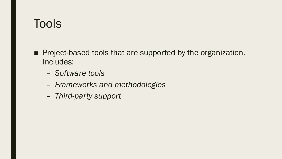## Tools

- Project-based tools that are supported by the organization. Includes:
	- *Software tools*
	- *Frameworks and methodologies*
	- *Third-party support*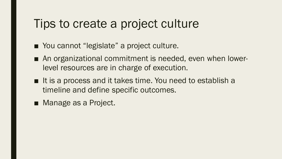## Tips to create a project culture

- You cannot "legislate" a project culture.
- An organizational commitment is needed, even when lowerlevel resources are in charge of execution.
- It is a process and it takes time. You need to establish a timeline and define specific outcomes.
- Manage as a Project.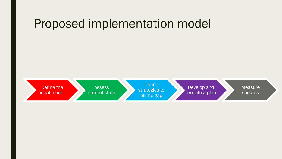#### Proposed implementation model

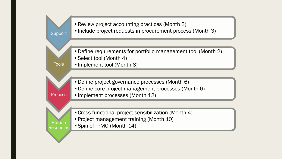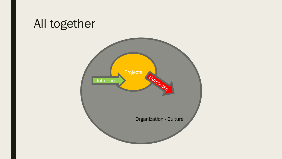## All together